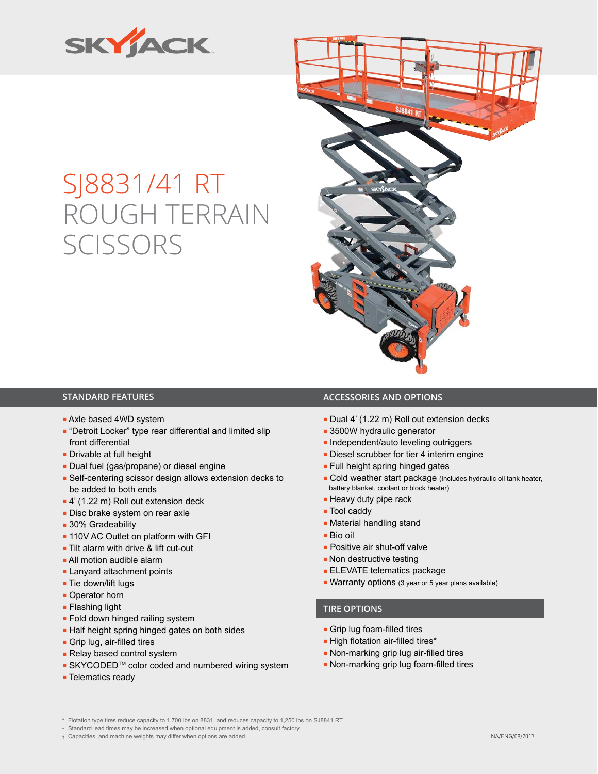

# SJ8831/41 RT ROUGH TERRAIN **SCISSORS**



- Axle based 4WD system
- "Detroit Locker" type rear differential and limited slip front differential
- Drivable at full height
- Dual fuel (gas/propane) or diesel engine
- Self-centering scissor design allows extension decks to be added to both ends
- 4' (1.22 m) Roll out extension deck
- Disc brake system on rear axle
- 30% Gradeability
- 110V AC Outlet on platform with GFI
- Tilt alarm with drive & lift cut-out
- All motion audible alarm
- Lanyard attachment points
- Tie down/lift lugs
- Operator horn
- Flashing light
- Fold down hinged railing system
- Half height spring hinged gates on both sides
- Grip lug, air-filled tires
- Relay based control system
- SKYCODED<sup>™</sup> color coded and numbered wiring system
- Telematics ready

### **STANDARD FEATURES ACCESSORIES AND OPTIONS**

- Dual 4' (1.22 m) Roll out extension decks
- 3500W hydraulic generator
- Independent/auto leveling outriggers
- Diesel scrubber for tier 4 interim engine
- Full height spring hinged gates
- Cold weather start package (Includes hydraulic oil tank heater, battery blanket, coolant or block heater)
- Heavy duty pipe rack
- Tool caddy
- Material handling stand
- Bio oil
- Positive air shut-off valve
- Non destructive testing
- ELEVATE telematics package
- Warranty options (3 year or 5 year plans available)

#### **TIRE OPTIONS**

- Grip lug foam-filled tires
- High flotation air-filled tires\*
- Non-marking grip lug air-filled tires
- Non-marking grip lug foam-filled tires
- \* Flotation type tires reduce capacity to 1,700 lbs on 8831, and reduces capacity to 1,250 lbs on SJ8841 RT
- † Standard lead times may be increased when optional equipment is added, consult factory.
- ‡ Capacities, and machine weights may differ when options are added.